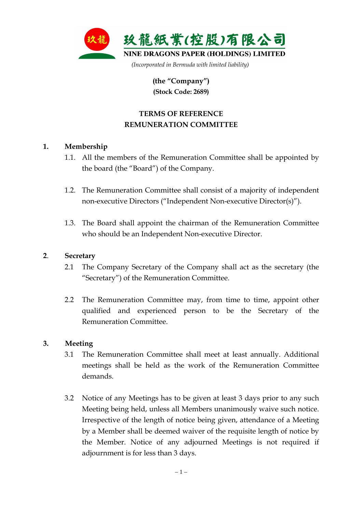

**(the "Company") (Stock Code: 2689)** 

# **TERMS OF REFERENCE REMUNERATION COMMITTEE**

# **1. Membership**

- 1.1. All the members of the Remuneration Committee shall be appointed by the board (the "Board") of the Company.
- 1.2. The Remuneration Committee shall consist of a majority of independent non-executive Directors ("Independent Non-executive Director(s)").
- 1.3. The Board shall appoint the chairman of the Remuneration Committee who should be an Independent Non-executive Director.

### **2**. **Secretary**

- 2.1 The Company Secretary of the Company shall act as the secretary (the "Secretary") of the Remuneration Committee.
- 2.2 The Remuneration Committee may, from time to time, appoint other qualified and experienced person to be the Secretary of the Remuneration Committee.

### **3. Meeting**

- 3.1 The Remuneration Committee shall meet at least annually. Additional meetings shall be held as the work of the Remuneration Committee demands.
- 3.2 Notice of any Meetings has to be given at least 3 days prior to any such Meeting being held, unless all Members unanimously waive such notice. Irrespective of the length of notice being given, attendance of a Meeting by a Member shall be deemed waiver of the requisite length of notice by the Member. Notice of any adjourned Meetings is not required if adjournment is for less than 3 days.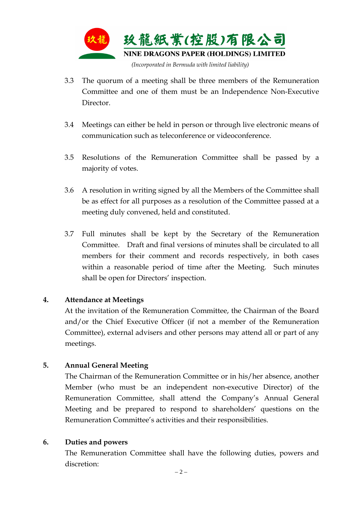

- 3.3 The quorum of a meeting shall be three members of the Remuneration Committee and one of them must be an Independence Non-Executive Director.
- 3.4 Meetings can either be held in person or through live electronic means of communication such as teleconference or videoconference.
- 3.5 Resolutions of the Remuneration Committee shall be passed by a majority of votes.
- 3.6 A resolution in writing signed by all the Members of the Committee shall be as effect for all purposes as a resolution of the Committee passed at a meeting duly convened, held and constituted.
- 3.7 Full minutes shall be kept by the Secretary of the Remuneration Committee. Draft and final versions of minutes shall be circulated to all members for their comment and records respectively, in both cases within a reasonable period of time after the Meeting. Such minutes shall be open for Directors' inspection.

### **4. Attendance at Meetings**

At the invitation of the Remuneration Committee, the Chairman of the Board and/or the Chief Executive Officer (if not a member of the Remuneration Committee), external advisers and other persons may attend all or part of any meetings.

### **5. Annual General Meeting**

 The Chairman of the Remuneration Committee or in his/her absence, another Member (who must be an independent non-executive Director) of the Remuneration Committee, shall attend the Company's Annual General Meeting and be prepared to respond to shareholders' questions on the Remuneration Committee's activities and their responsibilities.

#### **6. Duties and powers**

The Remuneration Committee shall have the following duties, powers and discretion: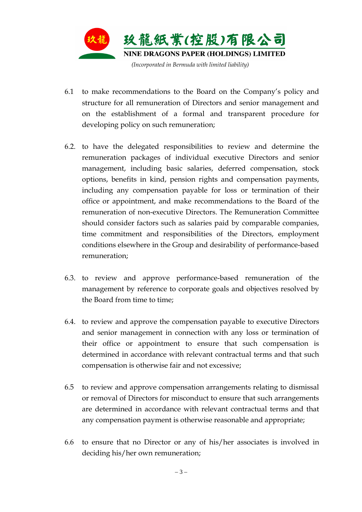

- 6.1 to make recommendations to the Board on the Company's policy and structure for all remuneration of Directors and senior management and on the establishment of a formal and transparent procedure for developing policy on such remuneration;
- 6.2. to have the delegated responsibilities to review and determine the remuneration packages of individual executive Directors and senior management, including basic salaries, deferred compensation, stock options, benefits in kind, pension rights and compensation payments, including any compensation payable for loss or termination of their office or appointment, and make recommendations to the Board of the remuneration of non-executive Directors. The Remuneration Committee should consider factors such as salaries paid by comparable companies, time commitment and responsibilities of the Directors, employment conditions elsewhere in the Group and desirability of performance-based remuneration;
- 6.3. to review and approve performance-based remuneration of the management by reference to corporate goals and objectives resolved by the Board from time to time;
- 6.4. to review and approve the compensation payable to executive Directors and senior management in connection with any loss or termination of their office or appointment to ensure that such compensation is determined in accordance with relevant contractual terms and that such compensation is otherwise fair and not excessive;
- 6.5 to review and approve compensation arrangements relating to dismissal or removal of Directors for misconduct to ensure that such arrangements are determined in accordance with relevant contractual terms and that any compensation payment is otherwise reasonable and appropriate;
- 6.6 to ensure that no Director or any of his/her associates is involved in deciding his/her own remuneration;